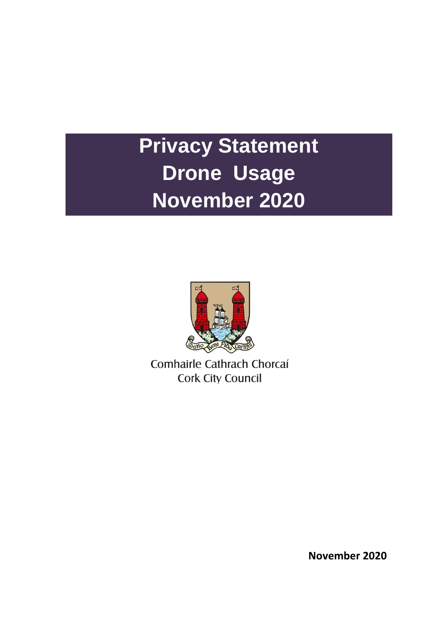# **Privacy Statement Drone Usage November 2020**



Comhairle Cathrach Chorcaí **Cork City Council** 

**November 2020**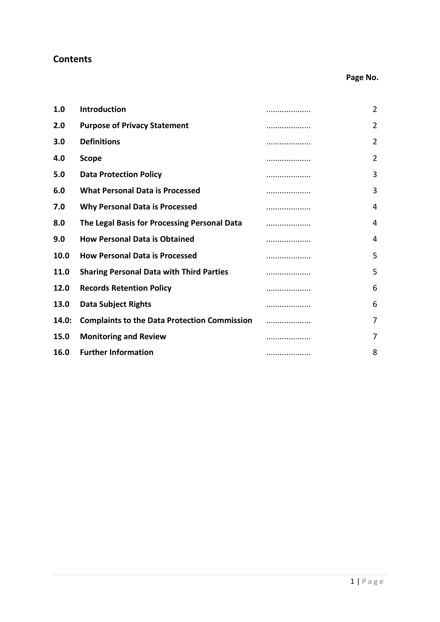# **Contents**

# **Page No.**

| 1.0         | Introduction                                        | . | 2              |
|-------------|-----------------------------------------------------|---|----------------|
| 2.0         | <b>Purpose of Privacy Statement</b>                 | . | 2              |
| 3.0         | <b>Definitions</b>                                  | . | 2              |
| 4.0         | <b>Scope</b>                                        | . | $\overline{2}$ |
| 5.0         | <b>Data Protection Policy</b>                       | . | 3              |
| 6.0         | <b>What Personal Data is Processed</b>              |   | 3              |
| 7.0         | <b>Why Personal Data is Processed</b>               | . | 4              |
| 8.0         | The Legal Basis for Processing Personal Data        | . | 4              |
| 9.0         | <b>How Personal Data is Obtained</b>                | . | 4              |
| 10.0        | <b>How Personal Data is Processed</b>               |   | 5              |
| <b>11.0</b> | <b>Sharing Personal Data with Third Parties</b>     | . | 5              |
| 12.0        | <b>Records Retention Policy</b>                     | . | 6              |
| 13.0        | <b>Data Subject Rights</b>                          | . | 6              |
| 14.0:       | <b>Complaints to the Data Protection Commission</b> | . | $\overline{7}$ |
| 15.0        | <b>Monitoring and Review</b>                        |   | 7              |
| 16.0        | <b>Further Information</b>                          | . | 8              |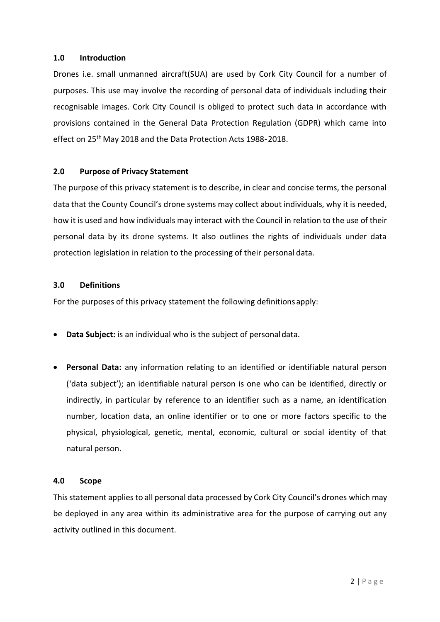#### **1.0 Introduction**

Drones i.e. small unmanned aircraft(SUA) are used by Cork City Council for a number of purposes. This use may involve the recording of personal data of individuals including their recognisable images. Cork City Council is obliged to protect such data in accordance with provisions contained in the General Data Protection Regulation (GDPR) which came into effect on 25<sup>th</sup> May 2018 and the Data Protection Acts 1988-2018.

#### **2.0 Purpose of Privacy Statement**

The purpose of this privacy statement is to describe, in clear and concise terms, the personal data that the County Council's drone systems may collect about individuals, why it is needed, how it is used and how individuals may interact with the Council in relation to the use of their personal data by its drone systems. It also outlines the rights of individuals under data protection legislation in relation to the processing of their personal data.

#### **3.0 Definitions**

For the purposes of this privacy statement the following definitions apply:

- **Data Subject:** is an individual who is the subject of personaldata.
- **Personal Data:** any information relating to an identified or identifiable natural person ('data subject'); an identifiable natural person is one who can be identified, directly or indirectly, in particular by reference to an identifier such as a name, an identification number, location data, an online identifier or to one or more factors specific to the physical, physiological, genetic, mental, economic, cultural or social identity of that natural person.

#### **4.0 Scope**

This statement applies to all personal data processed by Cork City Council's drones which may be deployed in any area within its administrative area for the purpose of carrying out any activity outlined in this document.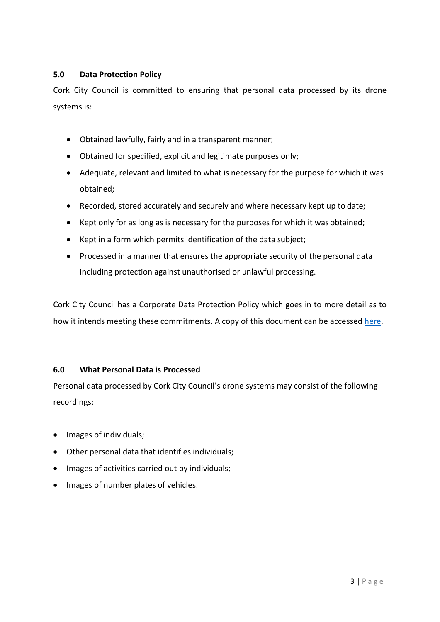# **5.0 Data Protection Policy**

Cork City Council is committed to ensuring that personal data processed by its drone systems is:

- Obtained lawfully, fairly and in a transparent manner;
- Obtained for specified, explicit and legitimate purposes only;
- Adequate, relevant and limited to what is necessary for the purpose for which it was obtained;
- Recorded, stored accurately and securely and where necessary kept up to date;
- Kept only for as long as is necessary for the purposes for which it was obtained;
- Kept in a form which permits identification of the data subject;
- Processed in a manner that ensures the appropriate security of the personal data including protection against unauthorised or unlawful processing.

Cork City Council has a Corporate Data Protection Policy which goes in to more detail as to how it intends meeting these commitments. A copy of this document can be accessed [here.](http://www.roscommoncoco.ie/en/Freedom_of_Information/Data%20Protection/Data-Protection-Policies-Procedures/Corporate-Data-Protection-Policy.pdf)

# **6.0 What Personal Data is Processed**

Personal data processed by Cork City Council's drone systems may consist of the following recordings:

- Images of individuals;
- Other personal data that identifies individuals;
- Images of activities carried out by individuals;
- Images of number plates of vehicles.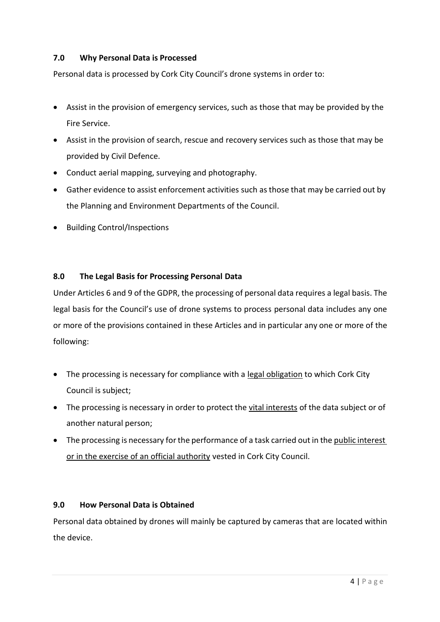# **7.0 Why Personal Data is Processed**

Personal data is processed by Cork City Council's drone systems in order to:

- Assist in the provision of emergency services, such as those that may be provided by the Fire Service.
- Assist in the provision of search, rescue and recovery services such as those that may be provided by Civil Defence.
- Conduct aerial mapping, surveying and photography.
- Gather evidence to assist enforcement activities such as those that may be carried out by the Planning and Environment Departments of the Council.
- Building Control/Inspections

#### **8.0 The Legal Basis for Processing Personal Data**

Under Articles 6 and 9 of the GDPR, the processing of personal data requires a legal basis. The legal basis for the Council's use of drone systems to process personal data includes any one or more of the provisions contained in these Articles and in particular any one or more of the following:

- The processing is necessary for compliance with a legal obligation to which Cork City Council is subject;
- The processing is necessary in order to protect the vital interests of the data subject or of another natural person;
- The processing is necessary for the performance of a task carried out in the public interest or in the exercise of an official authority vested in Cork City Council.

#### **9.0 How Personal Data is Obtained**

Personal data obtained by drones will mainly be captured by cameras that are located within the device.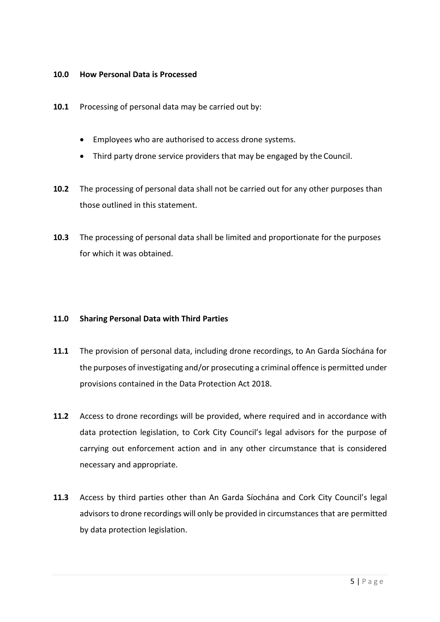#### **10.0 How Personal Data is Processed**

- **10.1** Processing of personal data may be carried out by:
	- Employees who are authorised to access drone systems.
	- Third party drone service providers that may be engaged by the Council.
- **10.2** The processing of personal data shall not be carried out for any other purposes than those outlined in this statement.
- **10.3** The processing of personal data shall be limited and proportionate for the purposes for which it was obtained.

# **11.0 Sharing Personal Data with Third Parties**

- **11.1** The provision of personal data, including drone recordings, to An Garda Síochána for the purposes of investigating and/or prosecuting a criminal offence is permitted under provisions contained in the Data Protection Act 2018.
- **11.2** Access to drone recordings will be provided, where required and in accordance with data protection legislation, to Cork City Council's legal advisors for the purpose of carrying out enforcement action and in any other circumstance that is considered necessary and appropriate.
- **11.3** Access by third parties other than An Garda Síochána and Cork City Council's legal advisors to drone recordings will only be provided in circumstances that are permitted by data protection legislation.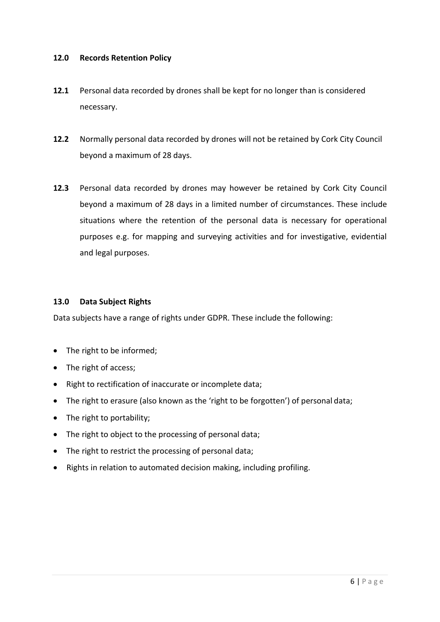#### **12.0 Records Retention Policy**

- **12.1** Personal data recorded by drones shall be kept for no longer than is considered necessary.
- **12.2** Normally personal data recorded by drones will not be retained by Cork City Council beyond a maximum of 28 days.
- **12.3** Personal data recorded by drones may however be retained by Cork City Council beyond a maximum of 28 days in a limited number of circumstances. These include situations where the retention of the personal data is necessary for operational purposes e.g. for mapping and surveying activities and for investigative, evidential and legal purposes.

#### **13.0 Data Subject Rights**

Data subjects have a range of rights under GDPR. These include the following:

- The right to be informed;
- The right of access;
- Right to rectification of inaccurate or incomplete data;
- The right to erasure (also known as the 'right to be forgotten') of personal data;
- The right to portability;
- The right to object to the processing of personal data;
- The right to restrict the processing of personal data;
- Rights in relation to automated decision making, including profiling.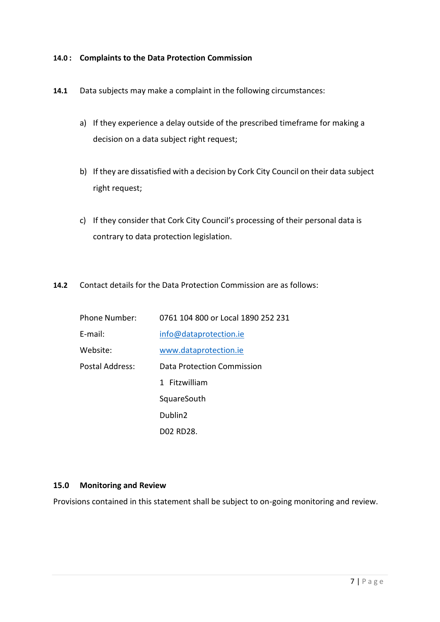#### **14.0 : Complaints to the Data Protection Commission**

- **14.1** Data subjects may make a complaint in the following circumstances:
	- a) If they experience a delay outside of the prescribed timeframe for making a decision on a data subject right request;
	- b) If they are dissatisfied with a decision by Cork City Council on their data subject right request;
	- c) If they consider that Cork City Council's processing of their personal data is contrary to data protection legislation.
- **14.2** Contact details for the Data Protection Commission are as follows:

| <b>Phone Number:</b> | 0761 104 800 or Local 1890 252 231 |
|----------------------|------------------------------------|
| $E$ -mail:           | info@dataprotection.ie             |
| Website:             | www.dataprotection.ie              |
| Postal Address:      | <b>Data Protection Commission</b>  |
|                      | 1 Fitzwilliam                      |
|                      | SquareSouth                        |
|                      | Dublin <sub>2</sub>                |
|                      | D02 RD28.                          |

#### **15.0 Monitoring and Review**

Provisions contained in this statement shall be subject to on-going monitoring and review.